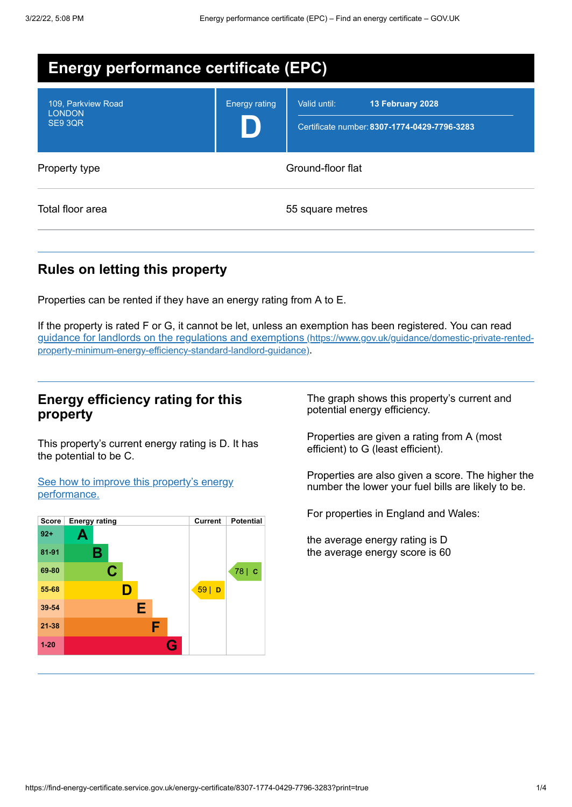| <b>Energy performance certificate (EPC)</b>    |                      |                                                                                  |
|------------------------------------------------|----------------------|----------------------------------------------------------------------------------|
| 109, Parkview Road<br><b>LONDON</b><br>SE9 3QR | <b>Energy rating</b> | Valid until:<br>13 February 2028<br>Certificate number: 8307-1774-0429-7796-3283 |
| Property type                                  |                      | Ground-floor flat                                                                |
| Total floor area                               |                      | 55 square metres                                                                 |

# **Rules on letting this property**

Properties can be rented if they have an energy rating from A to E.

If the property is rated F or G, it cannot be let, unless an exemption has been registered. You can read guidance for landlords on the regulations and exemptions (https://www.gov.uk/guidance/domestic-private-rented[property-minimum-energy-efficiency-standard-landlord-guidance\)](https://www.gov.uk/guidance/domestic-private-rented-property-minimum-energy-efficiency-standard-landlord-guidance).

### **Energy efficiency rating for this property**

This property's current energy rating is D. It has the potential to be C.

See how to improve this property's energy [performance.](#page-2-0)



The graph shows this property's current and potential energy efficiency.

Properties are given a rating from A (most efficient) to G (least efficient).

Properties are also given a score. The higher the number the lower your fuel bills are likely to be.

For properties in England and Wales:

the average energy rating is D the average energy score is 60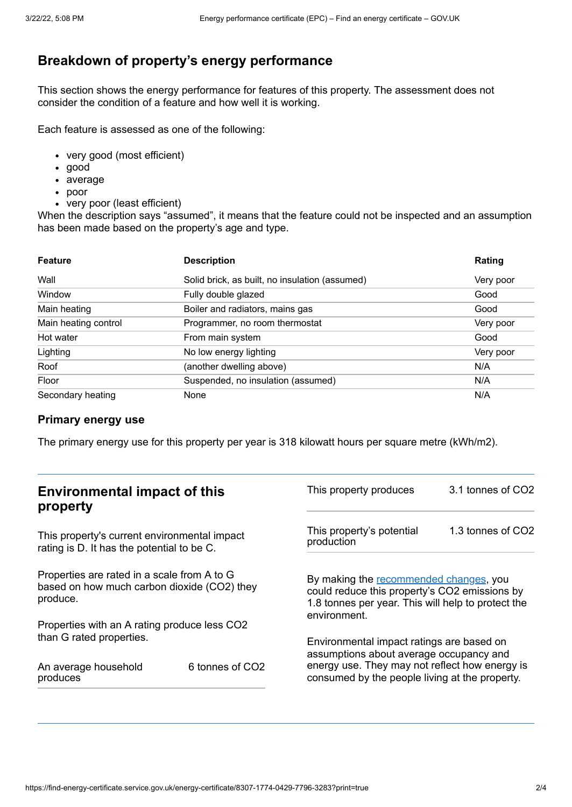# **Breakdown of property's energy performance**

This section shows the energy performance for features of this property. The assessment does not consider the condition of a feature and how well it is working.

Each feature is assessed as one of the following:

- very good (most efficient)
- good
- average
- poor
- very poor (least efficient)

When the description says "assumed", it means that the feature could not be inspected and an assumption has been made based on the property's age and type.

| <b>Feature</b>       | <b>Description</b>                             | Rating    |
|----------------------|------------------------------------------------|-----------|
| Wall                 | Solid brick, as built, no insulation (assumed) | Very poor |
| Window               | Fully double glazed                            | Good      |
| Main heating         | Boiler and radiators, mains gas                | Good      |
| Main heating control | Programmer, no room thermostat                 | Very poor |
| Hot water            | From main system                               | Good      |
| Lighting             | No low energy lighting                         | Very poor |
| Roof                 | (another dwelling above)                       | N/A       |
| Floor                | Suspended, no insulation (assumed)             | N/A       |
| Secondary heating    | None                                           | N/A       |

#### **Primary energy use**

The primary energy use for this property per year is 318 kilowatt hours per square metre (kWh/m2).

| <b>Environmental impact of this</b><br>property                                                        |                 | This property produces                                                                                                                                                                   | 3.1 tonnes of CO2 |
|--------------------------------------------------------------------------------------------------------|-----------------|------------------------------------------------------------------------------------------------------------------------------------------------------------------------------------------|-------------------|
| This property's current environmental impact<br>rating is D. It has the potential to be C.             |                 | This property's potential<br>production                                                                                                                                                  | 1.3 tonnes of CO2 |
| Properties are rated in a scale from A to G<br>based on how much carbon dioxide (CO2) they<br>produce. |                 | By making the recommended changes, you<br>could reduce this property's CO2 emissions by<br>1.8 tonnes per year. This will help to protect the<br>environment.                            |                   |
| Properties with an A rating produce less CO2                                                           |                 |                                                                                                                                                                                          |                   |
| than G rated properties.<br>An average household<br>produces                                           | 6 tonnes of CO2 | Environmental impact ratings are based on<br>assumptions about average occupancy and<br>energy use. They may not reflect how energy is<br>consumed by the people living at the property. |                   |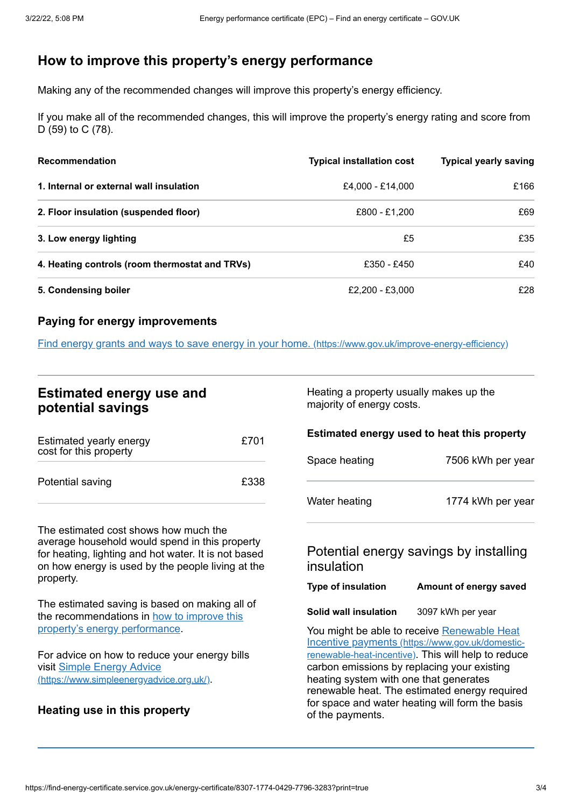# <span id="page-2-0"></span>**How to improve this property's energy performance**

Making any of the recommended changes will improve this property's energy efficiency.

If you make all of the recommended changes, this will improve the property's energy rating and score from D (59) to C (78).

| <b>Recommendation</b>                          | <b>Typical installation cost</b> | <b>Typical yearly saving</b> |
|------------------------------------------------|----------------------------------|------------------------------|
| 1. Internal or external wall insulation        | £4.000 - £14.000                 | £166                         |
| 2. Floor insulation (suspended floor)          | £800 - £1,200                    | £69                          |
| 3. Low energy lighting                         | £5                               | £35                          |
| 4. Heating controls (room thermostat and TRVs) | £350 - £450                      | £40                          |
| 5. Condensing boiler                           | £2,200 - £3,000                  | £28                          |

### **Paying for energy improvements**

Find energy grants and ways to save energy in your home. [\(https://www.gov.uk/improve-energy-efficiency\)](https://www.gov.uk/improve-energy-efficiency)

# **Estimated energy use and potential savings**

| Estimated yearly energy<br>cost for this property | £701 |
|---------------------------------------------------|------|
| Potential saving                                  | £338 |

The estimated cost shows how much the average household would spend in this property for heating, lighting and hot water. It is not based on how energy is used by the people living at the property.

The estimated saving is based on making all of the [recommendations](#page-2-0) in how to improve this property's energy performance.

For advice on how to reduce your energy bills visit Simple Energy Advice [\(https://www.simpleenergyadvice.org.uk/\)](https://www.simpleenergyadvice.org.uk/).

## **Heating use in this property**

Heating a property usually makes up the majority of energy costs.

#### **Estimated energy used to heat this property**

| Space heating | 7506 kWh per year |
|---------------|-------------------|
| Water heating | 1774 kWh per year |

## Potential energy savings by installing insulation

### **Type of insulation Amount of energy saved**

**Solid wall insulation** 3097 kWh per year

You might be able to receive Renewable Heat Incentive payments [\(https://www.gov.uk/domestic](https://www.gov.uk/domestic-renewable-heat-incentive)renewable-heat-incentive). This will help to reduce carbon emissions by replacing your existing heating system with one that generates renewable heat. The estimated energy required for space and water heating will form the basis of the payments.